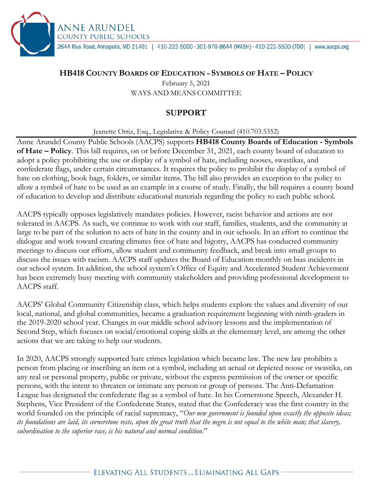2644 Riva Road, Annapolis, MD 21401 | 410-222-5000 · 301-970-8644 (WASH) · 410-222-5500 (TDD) | www.aacps.org

## **HB418 COUNTY BOARDS OF EDUCATION - SYMBOLS OF HATE – POLICY**

ANNE ARUNDEL **COUNTY PUBLIC SCHOOLS** 

> February 5, 2021 WAYS AND MEANS COMMITTEE

## **SUPPORT**

Jeanette Ortiz, Esq., Legislative & Policy Counsel (410.703.5352)

Anne Arundel County Public Schools (AACPS) supports **HB418 County Boards of Education - Symbols of Hate – Policy**. This bill requires, on or before December 31, 2021, each county board of education to adopt a policy prohibiting the use or display of a symbol of hate, including nooses, swastikas, and confederate flags, under certain circumstances. It requires the policy to prohibit the display of a symbol of hate on clothing, book bags, folders, or similar items. The bill also provides an exception to the policy to allow a symbol of hate to be used as an example in a course of study. Finally, the bill requires a county board of education to develop and distribute educational materials regarding the policy to each public school.

AACPS typically opposes legislatively mandates policies. However, racist behavior and actions are not tolerated in AACPS. As such, we continue to work with our staff, families, students, and the community at large to be part of the solution to acts of hate in the county and in our schools. In an effort to continue the dialogue and work toward creating climates free of hate and bigotry, AACPS has conducted community meetings to discuss our efforts, allow student and community feedback, and break into small groups to discuss the issues with racism. AACPS staff updates the Board of Education monthly on bias incidents in our school system. In addition, the school system's Office of Equity and Accelerated Student Achievement has been extremely busy meeting with community stakeholders and providing professional development to AACPS staff.

AACPS' Global Community Citizenship class, which helps students explore the values and diversity of our local, national, and global communities, became a graduation requirement beginning with ninth-graders in the 2019-2020 school year. Changes in our middle school advisory lessons and the implementation of Second Step, which focuses on social/emotional coping skills at the elementary level, are among the other actions that we are taking to help our students.

In 2020, AACPS strongly supported hate crimes legislation which became law. The new law prohibits a person from placing or inscribing an item or a symbol, including an actual or depicted noose or swastika, on any real or personal property, public or private, without the express permission of the owner or specific persons, with the intent to threaten or intimate any person or group of persons. The Anti-Defamation League has designated the confederate flag as a symbol of hate. In his Cornerstone Speech, Alexander H. Stephens, Vice President of the Confederate States, stated that the Confederacy was the first country in the world founded on the principle of racial supremacy, "*Our new government is founded upon exactly the opposite ideas; its foundations are laid, its cornerstone rests, upon the great truth that the negro is not equal to the white man; that slavery, subordination to the superior race, is his natural and normal condition.*"